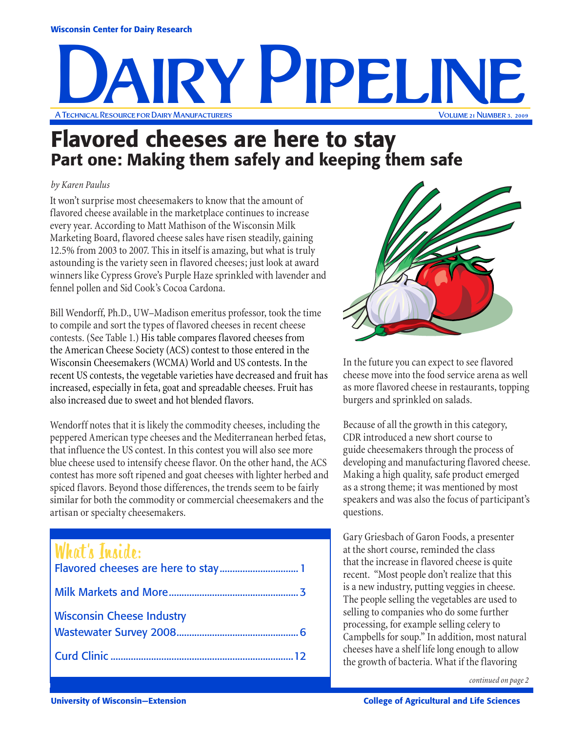# A Technical Resource for Dairy Manufacturers Volume 21 Number 3, 2009 IRY PIPELIN

### Flavored cheeses are here to stay Part one: Making them safely and keeping them safe

#### *by Karen Paulus*

It won't surprise most cheesemakers to know that the amount of flavored cheese available in the marketplace continues to increase every year. According to Matt Mathison of the Wisconsin Milk Marketing Board, flavored cheese sales have risen steadily, gaining 12.5% from 2003 to 2007. This in itself is amazing, but what is truly astounding is the variety seen in flavored cheeses; just look at award winners like Cypress Grove's Purple Haze sprinkled with lavender and fennel pollen and Sid Cook's Cocoa Cardona.

Bill Wendorff, Ph.D., UW–Madison emeritus professor, took the time to compile and sort the types of flavored cheeses in recent cheese contests. (See Table 1.) His table compares flavored cheeses from the American Cheese Society (ACS) contest to those entered in the Wisconsin Cheesemakers (WCMA) World and US contests. In the recent US contests, the vegetable varieties have decreased and fruit has increased, especially in feta, goat and spreadable cheeses. Fruit has also increased due to sweet and hot blended flavors.

Wendorff notes that it is likely the commodity cheeses, including the peppered American type cheeses and the Mediterranean herbed fetas, that influence the US contest. In this contest you will also see more blue cheese used to intensify cheese flavor. On the other hand, the ACS contest has more soft ripened and goat cheeses with lighter herbed and spiced flavors. Beyond those differences, the trends seem to be fairly similar for both the commodity or commercial cheesemakers and the artisan or specialty cheesemakers.

### What's Inside:

| <b>WILLL S IRSLILE:</b>          |  |
|----------------------------------|--|
|                                  |  |
| <b>Wisconsin Cheese Industry</b> |  |
|                                  |  |
|                                  |  |



In the future you can expect to see flavored cheese move into the food service arena as well as more flavored cheese in restaurants, topping burgers and sprinkled on salads.

Because of all the growth in this category, CDR introduced a new short course to guide cheesemakers through the process of developing and manufacturing flavored cheese. Making a high quality, safe product emerged as a strong theme; it was mentioned by most speakers and was also the focus of participant's questions.

Gary Griesbach of Garon Foods, a presenter at the short course, reminded the class that the increase in flavored cheese is quite recent. "Most people don't realize that this is a new industry, putting veggies in cheese. The people selling the vegetables are used to selling to companies who do some further processing, for example selling celery to Campbells for soup." In addition, most natural cheeses have a shelf life long enough to allow the growth of bacteria. What if the flavoring

*continued on page 2*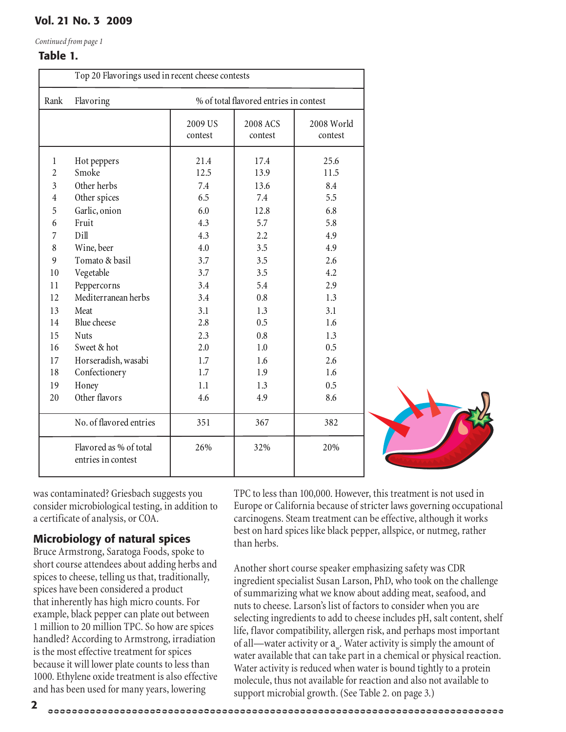*Continued from page 1*

#### Table 1.

|                                                                                                 | Top 20 Flavorings used in recent cheese contests                                                                                                                         |                                                                                    |                                                                                      |                                                                                    |  |
|-------------------------------------------------------------------------------------------------|--------------------------------------------------------------------------------------------------------------------------------------------------------------------------|------------------------------------------------------------------------------------|--------------------------------------------------------------------------------------|------------------------------------------------------------------------------------|--|
| Rank                                                                                            | Flavoring                                                                                                                                                                | % of total flavored entries in contest                                             |                                                                                      |                                                                                    |  |
|                                                                                                 |                                                                                                                                                                          | 2009 US<br>contest                                                                 | 2008 ACS<br>contest                                                                  | 2008 World<br>contest                                                              |  |
| $\mathbf 1$<br>$\overline{2}$<br>$\overline{3}$<br>4<br>5<br>6<br>7<br>8<br>9<br>10<br>11<br>12 | Hot peppers<br>Smoke<br>Other herbs<br>Other spices<br>Garlic, onion<br>Fruit<br>Dill<br>Wine, beer<br>Tomato & basil<br>Vegetable<br>Peppercorns<br>Mediterranean herbs | 21.4<br>12.5<br>7.4<br>6.5<br>6.0<br>4.3<br>4.3<br>4.0<br>3.7<br>3.7<br>3.4<br>3.4 | 17.4<br>13.9<br>13.6<br>7.4<br>12.8<br>5.7<br>2.2<br>3.5<br>3.5<br>3.5<br>5.4<br>0.8 | 25.6<br>11.5<br>8.4<br>5.5<br>6.8<br>5.8<br>4.9<br>4.9<br>2.6<br>4.2<br>2.9<br>1.3 |  |
| 13<br>14<br>15                                                                                  | Meat<br>Blue cheese<br>Nuts                                                                                                                                              | 3.1<br>2.8<br>2.3                                                                  | 1.3<br>0.5<br>0.8                                                                    | 3.1<br>1.6<br>1.3                                                                  |  |
| 16<br>17<br>18<br>19<br>20                                                                      | Sweet & hot<br>Horseradish, wasabi<br>Confectionery<br>Honey<br>Other flavors                                                                                            | 2.0<br>1.7<br>1.7<br>1.1<br>4.6                                                    | 1.0<br>1.6<br>1.9<br>1.3<br>4.9                                                      | 0.5<br>2.6<br>1.6<br>0.5<br>8.6                                                    |  |
|                                                                                                 | No. of flavored entries<br>Flavored as % of total<br>entries in contest                                                                                                  | 351<br>26%                                                                         | 367<br>32%                                                                           | 382<br>20%                                                                         |  |



was contaminated? Griesbach suggests you consider microbiological testing, in addition to a certificate of analysis, or COA.

#### Microbiology of natural spices

Bruce Armstrong, Saratoga Foods, spoke to short course attendees about adding herbs and spices to cheese, telling us that, traditionally, spices have been considered a product that inherently has high micro counts. For example, black pepper can plate out between 1 million to 20 million TPC. So how are spices handled? According to Armstrong, irradiation is the most effective treatment for spices because it will lower plate counts to less than 1000. Ethylene oxide treatment is also effective and has been used for many years, lowering

TPC to less than 100,000. However, this treatment is not used in Europe or California because of stricter laws governing occupational carcinogens. Steam treatment can be effective, although it works best on hard spices like black pepper, allspice, or nutmeg, rather than herbs.

Another short course speaker emphasizing safety was CDR ingredient specialist Susan Larson, PhD, who took on the challenge of summarizing what we know about adding meat, seafood, and nuts to cheese. Larson's list of factors to consider when you are selecting ingredients to add to cheese includes pH, salt content, shelf life, flavor compatibility, allergen risk, and perhaps most important of all—water activity or  $a_{w}$ . Water activity is simply the amount of water available that can take part in a chemical or physical reaction. Water activity is reduced when water is bound tightly to a protein molecule, thus not available for reaction and also not available to support microbial growth. (See Table 2. on page 3.)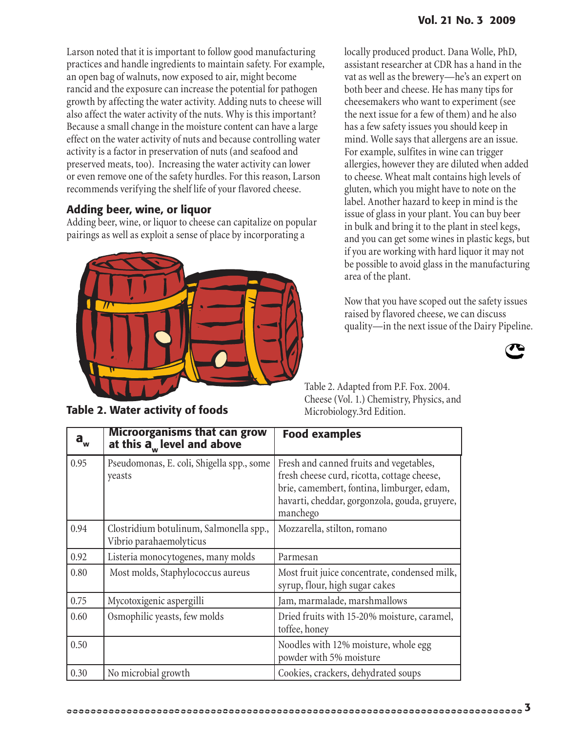Larson noted that it is important to follow good manufacturing practices and handle ingredients to maintain safety. For example, an open bag of walnuts, now exposed to air, might become rancid and the exposure can increase the potential for pathogen growth by affecting the water activity. Adding nuts to cheese will also affect the water activity of the nuts. Why is this important? Because a small change in the moisture content can have a large effect on the water activity of nuts and because controlling water activity is a factor in preservation of nuts (and seafood and preserved meats, too). Increasing the water activity can lower or even remove one of the safety hurdles. For this reason, Larson recommends verifying the shelf life of your flavored cheese.

#### Adding beer, wine, or liquor

Adding beer, wine, or liquor to cheese can capitalize on popular pairings as well as exploit a sense of place by incorporating a



locally produced product. Dana Wolle, PhD, assistant researcher at CDR has a hand in the vat as well as the brewery—he's an expert on both beer and cheese. He has many tips for cheesemakers who want to experiment (see the next issue for a few of them) and he also has a few safety issues you should keep in mind. Wolle says that allergens are an issue. For example, sulfites in wine can trigger allergies, however they are diluted when added to cheese. Wheat malt contains high levels of gluten, which you might have to note on the label. Another hazard to keep in mind is the issue of glass in your plant. You can buy beer in bulk and bring it to the plant in steel kegs, and you can get some wines in plastic kegs, but if you are working with hard liquor it may not be possible to avoid glass in the manufacturing area of the plant.

Now that you have scoped out the safety issues raised by flavored cheese, we can discuss quality—in the next issue of the Dairy Pipeline.



Table 2. Adapted from P.F. Fox. 2004. Cheese (Vol. 1.) Chemistry, Physics, and Microbiology.3rd Edition.

| $\mathbf{a}_{\mathsf{w}}$ | <b>Microorganisms that can grow</b><br>at this $\overline{a}_{w}$ level and above | <b>Food examples</b>                                                                                                                                                                              |
|---------------------------|-----------------------------------------------------------------------------------|---------------------------------------------------------------------------------------------------------------------------------------------------------------------------------------------------|
| 0.95                      | Pseudomonas, E. coli, Shigella spp., some<br>yeasts                               | Fresh and canned fruits and vegetables,<br>fresh cheese curd, ricotta, cottage cheese,<br>brie, camembert, fontina, limburger, edam,<br>havarti, cheddar, gorgonzola, gouda, gruyere,<br>manchego |
| 0.94                      | Clostridium botulinum, Salmonella spp.,<br>Vibrio parahaemolyticus                | Mozzarella, stilton, romano                                                                                                                                                                       |
| 0.92                      | Listeria monocytogenes, many molds                                                | Parmesan                                                                                                                                                                                          |
| 0.80                      | Most molds, Staphylococcus aureus                                                 | Most fruit juice concentrate, condensed milk,<br>syrup, flour, high sugar cakes                                                                                                                   |
| 0.75                      | Mycotoxigenic aspergilli                                                          | Jam, marmalade, marshmallows                                                                                                                                                                      |
| 0.60                      | Osmophilic yeasts, few molds                                                      | Dried fruits with 15-20% moisture, caramel,<br>toffee, honey                                                                                                                                      |
| 0.50                      |                                                                                   | Noodles with 12% moisture, whole egg<br>powder with 5% moisture                                                                                                                                   |
| 0.30                      | No microbial growth                                                               | Cookies, crackers, dehydrated soups                                                                                                                                                               |

Table 2. Water activity of foods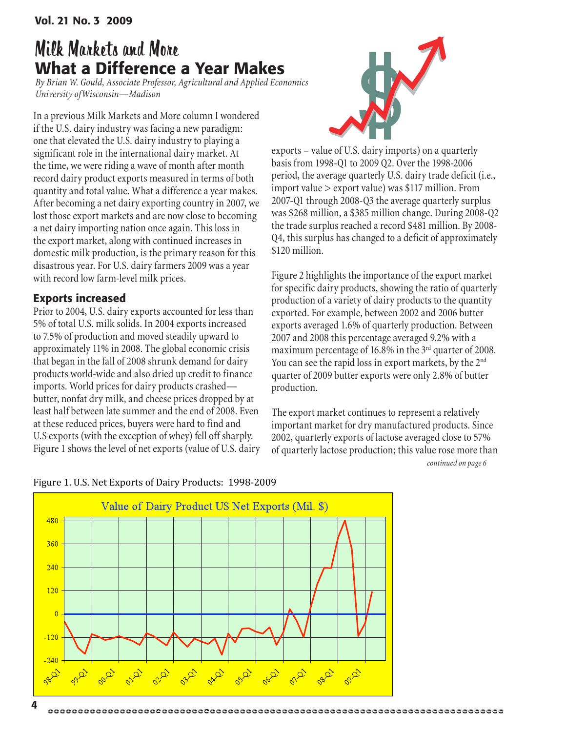# Milk Markets and More What a Difference a Year Makes

*By Brian W. Gould, Associate Professor, Agricultural and Applied Economics University ofWisconsin—Madison*

In a previous Milk Markets and More column I wondered if the U.S. dairy industry was facing a new paradigm: one that elevated the U.S. dairy industry to playing a significant role in the international dairy market. At the time, we were riding a wave of month after month record dairy product exports measured in terms of both quantity and total value. What a difference a year makes. After becoming a net dairy exporting country in 2007, we lost those export markets and are now close to becoming a net dairy importing nation once again. This loss in the export market, along with continued increases in domestic milk production, is the primary reason for this disastrous year. For U.S. dairy farmers 2009 was a year with record low farm-level milk prices.

#### Exports increased

Prior to 2004, U.S. dairy exports accounted for less than 5% of total U.S. milk solids. In 2004 exports increased to 7.5% of production and moved steadily upward to approximately 11% in 2008. The global economic crisis that began in the fall of 2008 shrunk demand for dairy products world-wide and also dried up credit to finance imports. World prices for dairy products crashed butter, nonfat dry milk, and cheese prices dropped by at least half between late summer and the end of 2008. Even at these reduced prices, buyers were hard to find and U.S exports (with the exception of whey) fell off sharply. Figure 1 shows the level of net exports (value of U.S. dairy



exports – value of U.S. dairy imports) on a quarterly basis from 1998-Q1 to 2009 Q2. Over the 1998-2006 period, the average quarterly U.S. dairy trade deficit (i.e., import value > export value) was \$117 million. From 2007-Q1 through 2008-Q3 the average quarterly surplus was \$268 million, a \$385 million change. During 2008-Q2 the trade surplus reached a record \$481 million. By 2008- Q4, this surplus has changed to a deficit of approximately \$120 million.

Figure 2 highlights the importance of the export market for specific dairy products, showing the ratio of quarterly production of a variety of dairy products to the quantity exported. For example, between 2002 and 2006 butter exports averaged 1.6% of quarterly production. Between 2007 and 2008 this percentage averaged 9.2% with a maximum percentage of 16.8% in the  $3<sup>rd</sup>$  quarter of 2008. You can see the rapid loss in export markets, by the 2<sup>nd</sup> quarter of 2009 butter exports were only 2.8% of butter production.

The export market continues to represent a relatively important market for dry manufactured products. Since 2002, quarterly exports of lactose averaged close to 57% of quarterly lactose production; this value rose more than *continued on page 6*



#### Figure
1.
U.S.
Net
Exports
of
Dairy
Products:

1998‐2009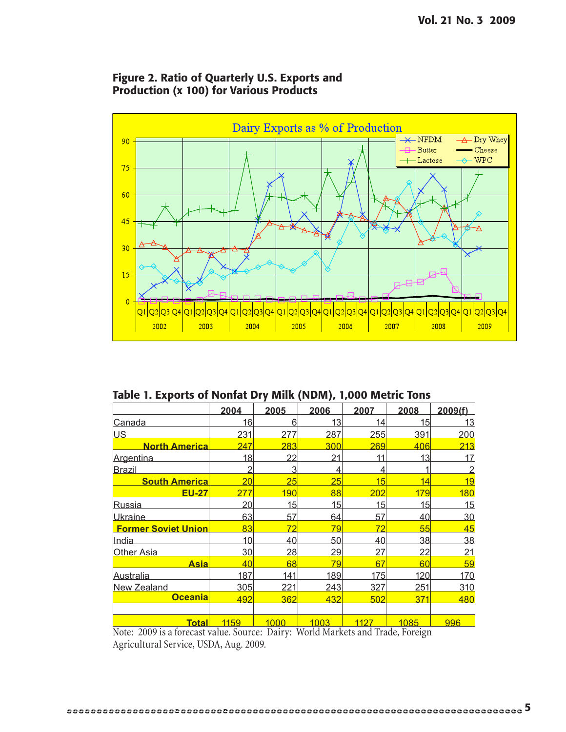

#### Figure 2. Ratio of Quarterly U.S. Exports and Production (x 100) for Various Products

Table 1. Exports of Nonfat Dry Milk (NDM), 1,000 Metric Tons

|                                                                  | 2004                   | 2005                 | 2006                      | 2007                      | 2008            | 2009(f)        |
|------------------------------------------------------------------|------------------------|----------------------|---------------------------|---------------------------|-----------------|----------------|
| Canada                                                           | 16                     | 6                    | 13                        | 14                        | 15              | 13             |
| <b>US</b>                                                        | 231                    | 277                  | 287                       | 255                       | 391             | 200            |
| <b>North America</b>                                             | 247                    | 283                  | 300                       | 269                       | 406             | 213            |
| Argentina                                                        | 18                     | 22                   | 21                        | 11                        | 13              | 17             |
| <b>Brazil</b>                                                    | 2                      | 3                    | 4                         | 4                         |                 | $\overline{2}$ |
| <b>South America</b>                                             | 20                     | 25                   | 25                        | 15                        | 14              | 19             |
| <b>EU-27</b>                                                     | 277                    | 190                  | 88                        | 202                       | 179             | 180            |
| <u>Russia</u>                                                    | 20                     | 15                   | 15                        | 15                        | 15              | 15             |
| <b>Ukraine</b>                                                   | 63                     | 57                   | 64                        | 57                        | 40              | 30             |
| <b>Former Soviet Union</b>                                       | 83                     | 72                   | 79                        | 72                        | 55              | 45             |
| India                                                            | 10                     | 40                   | 50                        | 40                        | 38              | 38             |
| <b>Other Asia</b>                                                | 30                     | 28                   | 29                        | 27                        | $\overline{22}$ | <u> 21</u>     |
| <u>Asia</u>                                                      | 40                     | 68                   | 79                        | 67                        | 60              | 59             |
| <u>Australia</u>                                                 | 187                    | 141                  | 189                       | 175                       | 120             | 170            |
| <b>New Zealand</b>                                               | 305                    | 221                  | 243                       | 327                       | 251             | 310            |
| <b>Oceania</b>                                                   | 492                    | 362                  | 432                       | 502                       | 371             | 480            |
|                                                                  |                        |                      |                           |                           |                 |                |
| <b>Total</b><br>$\overline{11}$ $\overline{0000}$ $\overline{0}$ | 1159<br>$\overline{1}$ | 1000<br>$\mathbf{r}$ | 1003<br>$7.7 - 11.25 - 1$ | 1127<br>$1 \text{ m}$ $1$ | 1085            | 996            |

Note: 2009 is a forecast value. Source: Dairy: World Markets and Trade, Foreign Agricultural Service, USDA, Aug. 2009.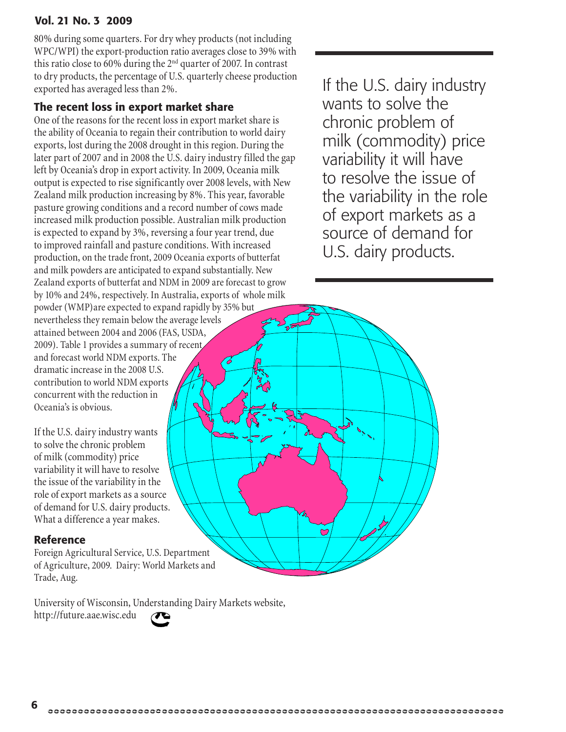80% during some quarters. For dry whey products (not including WPC/WPI) the export-production ratio averages close to 39% with this ratio close to 60% during the  $2<sup>nd</sup>$  quarter of 2007. In contrast to dry products, the percentage of U.S. quarterly cheese production  $\alpha$  ary products, the percentage of 0.5.  $\alpha$  and  $\alpha$  production if the U.S. dairy industry exported has averaged less than 2%.

#### The recent loss in export market share

One of the reasons for the recent loss in export market share is the ability of Oceania to regain their contribution to world dairy exports, lost during the 2008 drought in this region. During the later part of 2007 and in 2008 the U.S. dairy industry filled the gap left by Oceania's drop in export activity. In 2009, Oceania milk output is expected to rise significantly over 2008 levels, with New Zealand milk production increasing by 8%. This year, favorable pasture growing conditions and a record number of cows made increased milk production possible. Australian milk production is expected to expand by 3%, reversing a four year trend, due to improved rainfall and pasture conditions. With increased production, on the trade front, 2009 Oceania exports of butterfat and milk powders are anticipated to expand substantially. New Zealand exports of butterfat and NDM in 2009 are forecast to grow by 10% and 24%, respectively. In Australia, exports of whole milk powder (WMP)are expected to expand rapidly by 35% but nevertheless they remain below the average levels attained between 2004 and 2006 (FAS, USDA, 2009). Table 1 provides a summary of recent and forecast world NDM exports. The dramatic increase in the 2008 U.S. contribution to world NDM exports concurrent with the reduction in Oceania's is obvious.

If the U.S. dairy industry wants to solve the chronic problem of milk (commodity) price variability it will have to resolve the issue of the variability in the role of export markets as a source of demand for U.S. dairy products. What a difference a year makes.

#### Reference

Foreign Agricultural Service, U.S. Department of Agriculture, 2009. Dairy: World Markets and Trade, Aug.

University of Wisconsin, Understanding Dairy Markets website,

http://future.aae.wisc.edu



wants to solve the chronic problem of milk (commodity) price variability it will have to resolve the issue of the variability in the role of export markets as a source of demand for U.S. dairy products.

 $\mathbf C$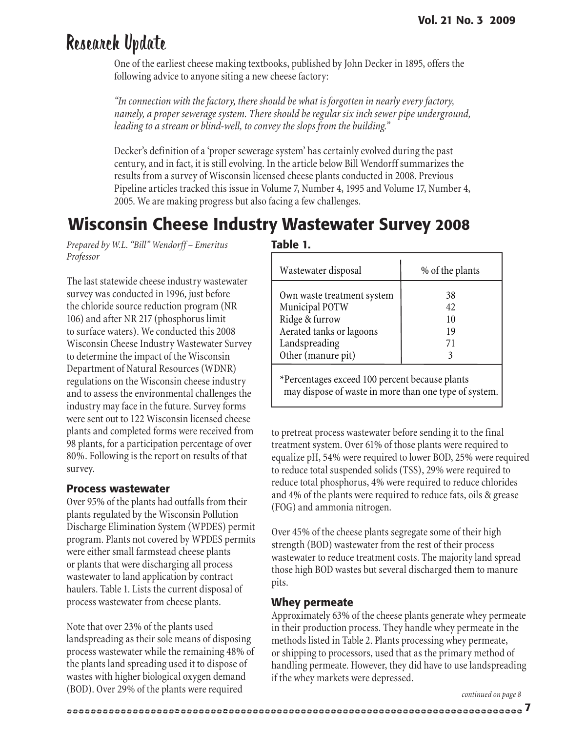# Research Update

One of the earliest cheese making textbooks, published by John Decker in 1895, offers the following advice to anyone siting a new cheese factory:

*"In connection with the factory, there should be what is forgotten in nearly every factory, namely, a proper sewerage system. There should be regular six inch sewer pipe underground, leading to a stream or blind-well, to convey the slops from the building."*

Decker's definition of a 'proper sewerage system' has certainly evolved during the past century, and in fact, it is still evolving. In the article below Bill Wendorff summarizes the results from a survey of Wisconsin licensed cheese plants conducted in 2008. Previous Pipeline articles tracked this issue in Volume 7, Number 4, 1995 and Volume 17, Number 4, 2005. We are making progress but also facing a few challenges.

## Wisconsin Cheese Industry Wastewater Survey 2008

*Prepared by W.L. "Bill" Wendorff – Emeritus Professor*

The last statewide cheese industry wastewater survey was conducted in 1996, just before the chloride source reduction program (NR 106) and after NR 217 (phosphorus limit to surface waters). We conducted this 2008 Wisconsin Cheese Industry Wastewater Survey to determine the impact of the Wisconsin Department of Natural Resources (WDNR) regulations on the Wisconsin cheese industry and to assess the environmental challenges the industry may face in the future. Survey forms were sent out to 122 Wisconsin licensed cheese plants and completed forms were received from 98 plants, for a participation percentage of over 80%. Following is the report on results of that survey.

#### Process wastewater

Over 95% of the plants had outfalls from their plants regulated by the Wisconsin Pollution Discharge Elimination System (WPDES) permit program. Plants not covered by WPDES permits were either small farmstead cheese plants or plants that were discharging all process wastewater to land application by contract haulers. Table 1. Lists the current disposal of process wastewater from cheese plants.

Note that over 23% of the plants used landspreading as their sole means of disposing process wastewater while the remaining 48% of the plants land spreading used it to dispose of wastes with higher biological oxygen demand (BOD). Over 29% of the plants were required

Table 1.

| Wastewater disposal                                                                                                               | % of the plants            |
|-----------------------------------------------------------------------------------------------------------------------------------|----------------------------|
| Own waste treatment system<br>Municipal POTW<br>Ridge & furrow<br>Aerated tanks or lagoons<br>Landspreading<br>Other (manure pit) | 38<br>42<br>10<br>19<br>71 |
|                                                                                                                                   |                            |

\*Percentages exceed 100 percent because plants may dispose of waste in more than one type of system.

to pretreat process wastewater before sending it to the final treatment system. Over 61% of those plants were required to equalize pH, 54% were required to lower BOD, 25% were required to reduce total suspended solids (TSS), 29% were required to reduce total phosphorus, 4% were required to reduce chlorides and 4% of the plants were required to reduce fats, oils & grease (FOG) and ammonia nitrogen.

Over 45% of the cheese plants segregate some of their high strength (BOD) wastewater from the rest of their process wastewater to reduce treatment costs. The majority land spread those high BOD wastes but several discharged them to manure pits.

#### Whey permeate

Approximately 63% of the cheese plants generate whey permeate in their production process. They handle whey permeate in the methods listed in Table 2. Plants processing whey permeate, or shipping to processors, used that as the primary method of handling permeate. However, they did have to use landspreading if the whey markets were depressed.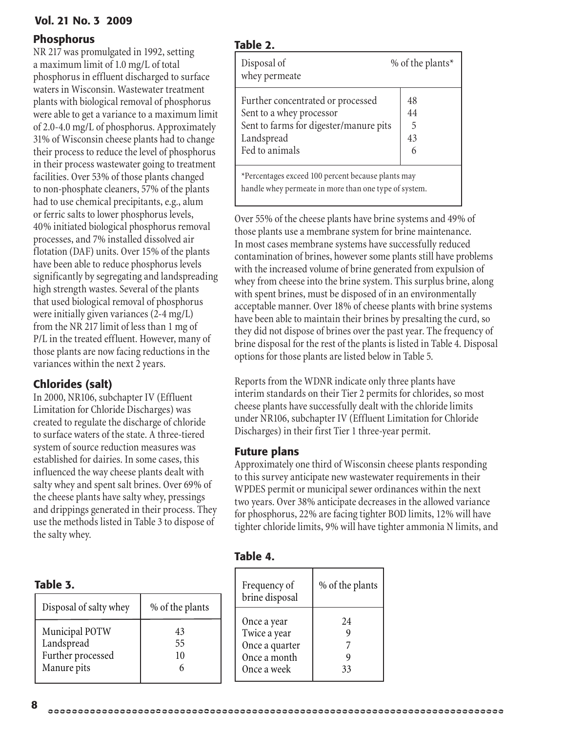#### Phosphorus

NR 217 was promulgated in 1992, setting a maximum limit of 1.0 mg/L of total phosphorus in effluent discharged to surface waters in Wisconsin. Wastewater treatment plants with biological removal of phosphorus were able to get a variance to a maximum limit of 2.0-4.0 mg/L of phosphorus. Approximately 31% of Wisconsin cheese plants had to change their process to reduce the level of phosphorus in their process wastewater going to treatment facilities. Over 53% of those plants changed to non-phosphate cleaners, 57% of the plants had to use chemical precipitants, e.g., alum or ferric salts to lower phosphorus levels, 40% initiated biological phosphorus removal processes, and 7% installed dissolved air flotation (DAF) units. Over 15% of the plants have been able to reduce phosphorus levels significantly by segregating and landspreading high strength wastes. Several of the plants that used biological removal of phosphorus were initially given variances (2-4 mg/L) from the NR 217 limit of less than 1 mg of P/L in the treated effluent. However, many of those plants are now facing reductions in the variances within the next 2 years.

#### Chlorides (salt)

In 2000, NR106, subchapter IV (Effluent Limitation for Chloride Discharges) was created to regulate the discharge of chloride to surface waters of the state. A three-tiered system of source reduction measures was established for dairies. In some cases, this influenced the way cheese plants dealt with salty whey and spent salt brines. Over 69% of the cheese plants have salty whey, pressings and drippings generated in their process. They use the methods listed in Table 3 to dispose of the salty whey.

#### Table 3.

| Disposal of salty whey                                           | % of the plants |
|------------------------------------------------------------------|-----------------|
| Municipal POTW<br>Landspread<br>Further processed<br>Manure pits | 43<br>55<br>10  |

#### Table 2.

| Disposal of<br>whey permeate                                                                                                            | % of the plants*         |
|-----------------------------------------------------------------------------------------------------------------------------------------|--------------------------|
| Further concentrated or processed<br>Sent to a whey processor<br>Sent to farms for digester/manure pits<br>Landspread<br>Fed to animals | 48<br>44<br>5<br>43<br>6 |
| *Percentages exceed 100 percent because plants may                                                                                      |                          |

handle whey permeate in more than one type of system.

Over 55% of the cheese plants have brine systems and 49% of those plants use a membrane system for brine maintenance. In most cases membrane systems have successfully reduced contamination of brines, however some plants still have problems with the increased volume of brine generated from expulsion of whey from cheese into the brine system. This surplus brine, along with spent brines, must be disposed of in an environmentally acceptable manner. Over 18% of cheese plants with brine systems have been able to maintain their brines by presalting the curd, so they did not dispose of brines over the past year. The frequency of brine disposal for the rest of the plants is listed in Table 4. Disposal options for those plants are listed below in Table 5.

Reports from the WDNR indicate only three plants have interim standards on their Tier 2 permits for chlorides, so most cheese plants have successfully dealt with the chloride limits under NR106, subchapter IV (Effluent Limitation for Chloride Discharges) in their first Tier 1 three-year permit.

#### Future plans

Approximately one third of Wisconsin cheese plants responding to this survey anticipate new wastewater requirements in their WPDES permit or municipal sewer ordinances within the next two years. Over 38% anticipate decreases in the allowed variance for phosphorus, 22% are facing tighter BOD limits, 12% will have tighter chloride limits, 9% will have tighter ammonia N limits, and

| Frequency of<br>brine disposal                                               | % of the plants |
|------------------------------------------------------------------------------|-----------------|
| Once a year<br>Twice a year<br>Once a quarter<br>Once a month<br>Once a week | 24<br>33        |

#### Table 4.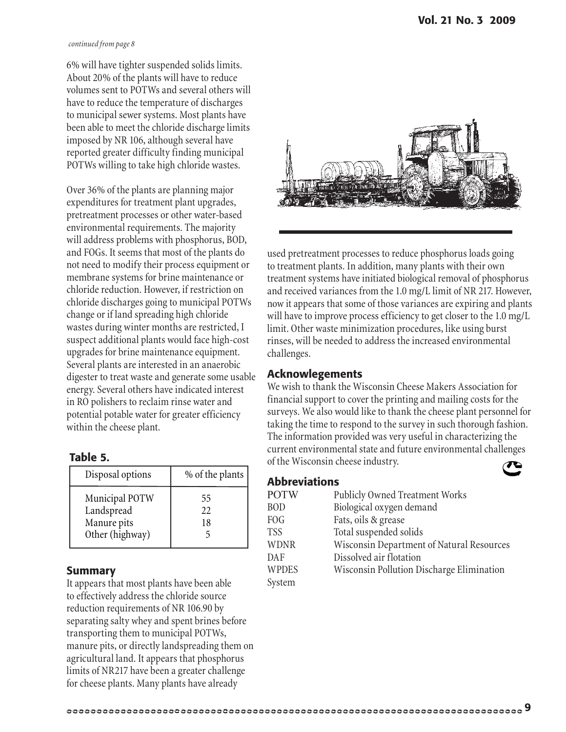#### *continued from page 8*

6% will have tighter suspended solids limits. About 20% of the plants will have to reduce volumes sent to POTWs and several others will have to reduce the temperature of discharges to municipal sewer systems. Most plants have been able to meet the chloride discharge limits imposed by NR 106, although several have reported greater difficulty finding municipal POTWs willing to take high chloride wastes.

Over 36% of the plants are planning major expenditures for treatment plant upgrades, pretreatment processes or other water-based environmental requirements. The majority will address problems with phosphorus, BOD, and FOGs. It seems that most of the plants do not need to modify their process equipment or membrane systems for brine maintenance or chloride reduction. However, if restriction on chloride discharges going to municipal POTWs change or if land spreading high chloride wastes during winter months are restricted, I suspect additional plants would face high-cost upgrades for brine maintenance equipment. Several plants are interested in an anaerobic digester to treat waste and generate some usable energy. Several others have indicated interest in RO polishers to reclaim rinse water and potential potable water for greater efficiency within the cheese plant.

#### Table 5.

| Disposal options                                               | % of the plants $\vert$ |
|----------------------------------------------------------------|-------------------------|
| Municipal POTW<br>Landspread<br>Manure pits<br>Other (highway) | 55<br>22<br>18          |

#### Summary

It appears that most plants have been able to effectively address the chloride source reduction requirements of NR 106.90 by separating salty whey and spent brines before transporting them to municipal POTWs, manure pits, or directly landspreading them on agricultural land. It appears that phosphorus limits of NR217 have been a greater challenge for cheese plants. Many plants have already



used pretreatment processes to reduce phosphorus loads going to treatment plants. In addition, many plants with their own treatment systems have initiated biological removal of phosphorus and received variances from the 1.0 mg/L limit of NR 217. However, now it appears that some of those variances are expiring and plants will have to improve process efficiency to get closer to the 1.0 mg/L limit. Other waste minimization procedures, like using burst rinses, will be needed to address the increased environmental challenges.

#### Acknowlegements

We wish to thank the Wisconsin Cheese Makers Association for financial support to cover the printing and mailing costs for the surveys. We also would like to thank the cheese plant personnel for taking the time to respond to the survey in such thorough fashion. The information provided was very useful in characterizing the current environmental state and future environmental challenges of the Wisconsin cheese industry.

#### Abbreviations

| <b>POTW</b>  | Publicly Owned Treatment Works            |
|--------------|-------------------------------------------|
| <b>BOD</b>   | Biological oxygen demand                  |
| <b>FOG</b>   | Fats, oils & grease                       |
| <b>TSS</b>   | Total suspended solids                    |
| <b>WDNR</b>  | Wisconsin Department of Natural Resources |
| DAF          | Dissolved air flotation                   |
| <b>WPDES</b> | Wisconsin Pollution Discharge Elimination |
| System       |                                           |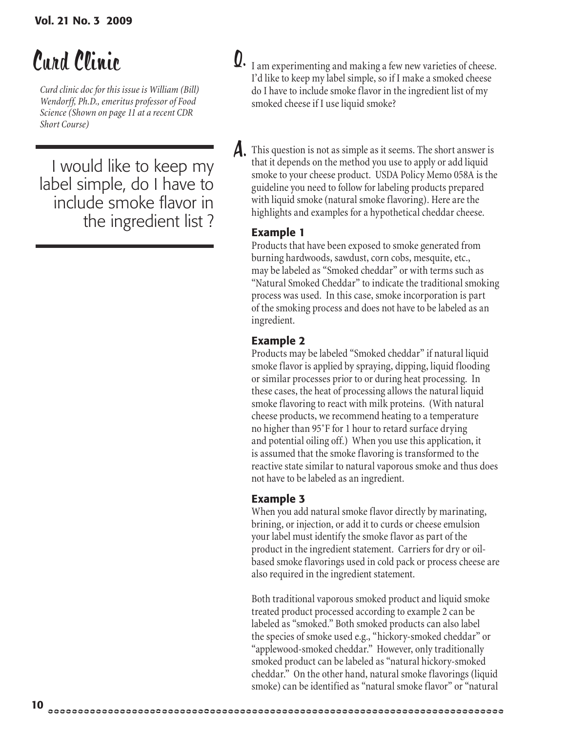# Curd Clinic

*Curd clinic doc for this issue is William (Bill) Wendorff, Ph.D., emeritus professor of Food Science (Shown on page 11 at a recent CDR Short Course)*

I would like to keep my label simple, do I have to include smoke flavor in the ingredient list ?  $\mathbf{Q}.$  I am experimenting and making a few new varieties of cheese. I'd like to keep my label simple, so if I make a smoked cheese do I have to include smoke flavor in the ingredient list of my smoked cheese if I use liquid smoke?

 $\boldsymbol{A}$ . This question is not as simple as it seems. The short answer is that it depends on the method you use to apply or add liquid smoke to your cheese product. USDA Policy Memo 058A is the guideline you need to follow for labeling products prepared with liquid smoke (natural smoke flavoring). Here are the highlights and examples for a hypothetical cheddar cheese.

#### Example 1

Products that have been exposed to smoke generated from burning hardwoods, sawdust, corn cobs, mesquite, etc., may be labeled as "Smoked cheddar" or with terms such as "Natural Smoked Cheddar" to indicate the traditional smoking process was used. In this case, smoke incorporation is part of the smoking process and does not have to be labeled as an ingredient.

#### Example 2

Products may be labeled "Smoked cheddar" if natural liquid smoke flavor is applied by spraying, dipping, liquid flooding or similar processes prior to or during heat processing. In these cases, the heat of processing allows the natural liquid smoke flavoring to react with milk proteins. (With natural cheese products, we recommend heating to a temperature no higher than 95˚F for 1 hour to retard surface drying and potential oiling off.) When you use this application, it is assumed that the smoke flavoring is transformed to the reactive state similar to natural vaporous smoke and thus does not have to be labeled as an ingredient.

#### Example 3

When you add natural smoke flavor directly by marinating, brining, or injection, or add it to curds or cheese emulsion your label must identify the smoke flavor as part of the product in the ingredient statement. Carriers for dry or oilbased smoke flavorings used in cold pack or process cheese are also required in the ingredient statement.

Both traditional vaporous smoked product and liquid smoke treated product processed according to example 2 can be labeled as "smoked." Both smoked products can also label the species of smoke used e.g., "hickory-smoked cheddar" or "applewood-smoked cheddar." However, only traditionally smoked product can be labeled as "natural hickory-smoked cheddar." On the other hand, natural smoke flavorings (liquid smoke) can be identified as "natural smoke flavor" or "natural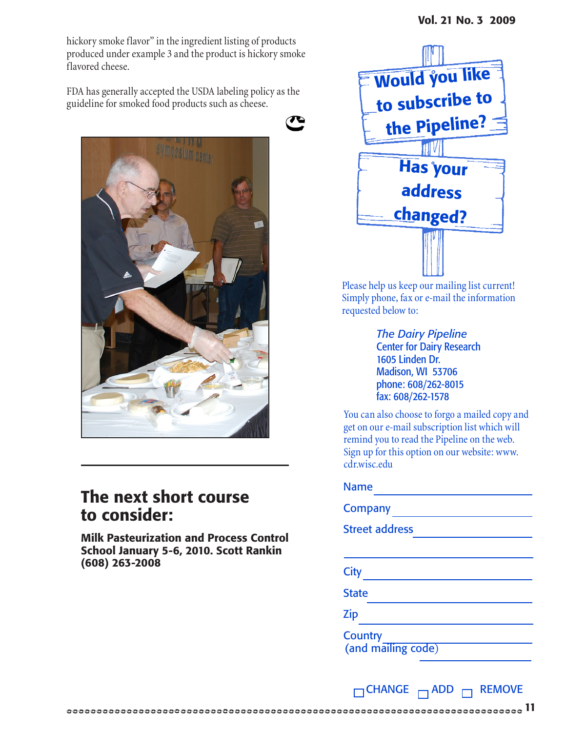hickory smoke flavor" in the ingredient listing of products produced under example 3 and the product is hickory smoke flavored cheese.

FDA has generally accepted the USDA labeling policy as the guideline for smoked food products such as cheese.





### The next short course to consider:

Milk Pasteurization and Process Control School January 5-6, 2010. Scott Rankin (608) 263-2008



Please help us keep our mailing list current! Simply phone, fax or e-mail the information requested below to:

> *The Dairy Pipeline* Center for Dairy Research 1605 Linden Dr. Madison, WI 53706 phone: 608/262-8015 fax: 608/262-1578

You can also choose to forgo a mailed copy and get on our e-mail subscription list which will remind you to read the Pipeline on the web. Sign up for this option on our website: www. cdr.wisc.edu

### Name

11

Company Street address **City City** State Zip and the contract of the contract of the contract of the contract of the contract of the contract of the contract of the contract of the contract of the contract of the contract of the contract of the contract of the co **Country** (and mailing code)

 $\Box$ CHANGE  $\Box$ ADD  $\Box$  REMOVE